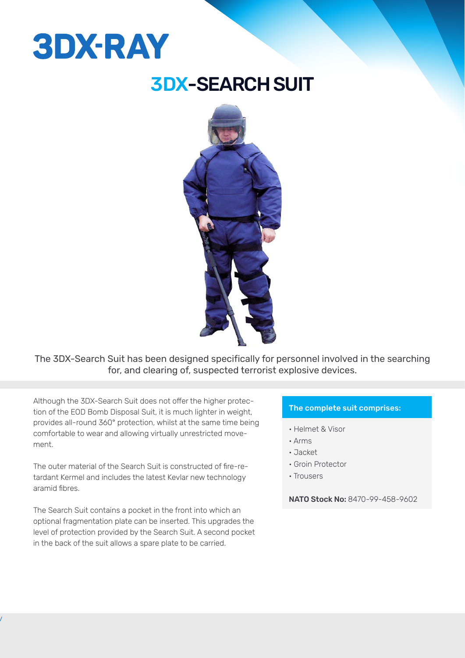# **3DX-RAY**

### 3DX-SEARCH SUIT



The 3DX-Search Suit has been designed specifically for personnel involved in the searching for, and clearing of, suspected terrorist explosive devices.

Although the 3DX-Search Suit does not offer the higher protection of the EOD Bomb Disposal Suit, it is much lighter in weight, provides all-round 360° protection, whilst at the same time being comfortable to wear and allowing virtually unrestricted movement.

The outer material of the Search Suit is constructed of fire-retardant Kermel and includes the latest Kevlar new technology aramid fibres.

The Search Suit contains a pocket in the front into which an optional fragmentation plate can be inserted. This upgrades the level of protection provided by the Search Suit. A second pocket in the back of the suit allows a spare plate to be carried.

### The complete suit comprises:

- Helmet & Visor
- Arms
- Jacket
- Groin Protector
- Trousers

NATO Stock No: 8470-99-458-9602